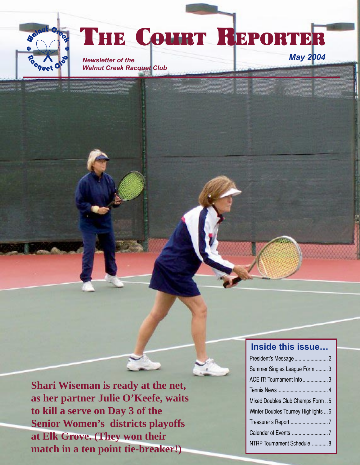

# THE COURT REPORTER

*Newsletter of the Walnut Creek Racquet Club*

**Inside this issue…**

*May 2004*

| Summer Singles League Form  3        |
|--------------------------------------|
| ACE IT! Tournament Info  3           |
|                                      |
| Mixed Doubles Club Champs Form 5     |
| Winter Doubles Tourney Highlights  6 |
|                                      |
|                                      |
| NTRP Tournament Schedule  8          |

**Shari Wiseman is ready at the net, as her partner Julie O'Keefe, waits to kill a serve on Day 3 of the Senior Women's districts playoffs at Elk Grove. (They won their match in a ten point tie-breaker!)**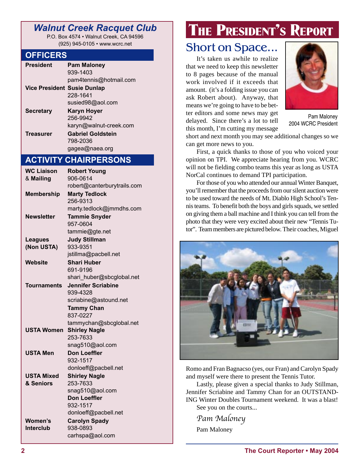## *Walnut Creek Racquet Club*

P.O. Box 4574 • Walnut Creek, CA 94596 (925) 945-0105 • www.wcrc.net

#### **OFFICERS**

| <b>President</b>                   | <b>Pam Maloney</b>       |
|------------------------------------|--------------------------|
|                                    | 939-1403                 |
|                                    | pam4tennis@hotmail.com   |
| <b>Vice President Susie Dunlap</b> |                          |
|                                    | 228-1641                 |
|                                    | susied98@aol.com         |
| <b>Secretary</b>                   | <b>Karyn Hoyer</b>       |
|                                    | 256-9942                 |
|                                    | karyn@walnut-creek.com   |
| <b>Treasurer</b>                   | <b>Gabriel Goldstein</b> |
|                                    | 798-2036                 |
|                                    | gagea@naea.org           |

### **ACTIVITY CHAIRPERSONS**

| <b>WC Liaison</b> | <b>Robert Young</b>                    |
|-------------------|----------------------------------------|
| & Mailing         | 906-0614                               |
|                   | robert@canterburytrails.com            |
| <b>Membership</b> | <b>Marty Tedlock</b><br>256-9313       |
|                   | marty.tedlock@jmmdhs.com               |
| <b>Newsletter</b> | <b>Tammie Snyder</b>                   |
|                   | 957-0604                               |
|                   | tammie@gte.net                         |
| <b>Leagues</b>    | <b>Judy Stillman</b>                   |
| (Non USTA)        | 933-9351                               |
|                   | jstillma@pacbell.net                   |
| Website           | <b>Shari Huber</b>                     |
|                   | 691-9196                               |
|                   | shari_huber@sbcglobal.net              |
| Tournaments       | <b>Jennifer Scriabine</b>              |
|                   | 939-4328                               |
|                   | scriabine@astound.net                  |
|                   | <b>Tammy Chan</b>                      |
|                   | 837-0227                               |
|                   | tammychan@sbcglobal.net                |
| USTA Women        | <b>Shirley Nagle</b>                   |
|                   | 253-7633                               |
|                   | snag510@aol.com<br><b>Don Loeffler</b> |
| <b>USTA Men</b>   | 932-1517                               |
|                   | donloeff@pacbell.net                   |
| <b>USTA Mixed</b> | <b>Shirley Nagle</b>                   |
| & Seniors         | 253-7633                               |
|                   | snag510@aol.com                        |
|                   | <b>Don Loeffler</b>                    |
|                   | 932-1517                               |
|                   | donloeff@pacbell.net                   |
| <b>Women's</b>    | <b>Carolyn Spady</b>                   |
| <b>Interclub</b>  | 938-0893                               |
|                   | carhspa@aol.com                        |

# THE PRESIDENT'S REPORT

# Short on Space...

It's taken us awhile to realize that we need to keep this newsletter to 8 pages because of the manual work involved if it exceeds that amount. (it's a folding issue you can ask Robert about). Anyway, that means we're going to have to be better editors and some news may get delayed. Since there's a lot to tell this month, I'm cutting my message



Pam Maloney 2004 WCRC President

short and next month you may see additional changes so we can get more news to you.

First, a quick thanks to those of you who voiced your opinion on TPI. We appreciate hearing from you. WCRC will not be fielding combo teams this year as long as USTA NorCal continues to demand TPI participation.

For those of you who attended our annual Winter Banquet, you'll remember that the proceeds from our silent auction were to be used toward the needs of Mt. Diablo High School's Tennis teams. To benefit both the boys and girls squads, we settled on giving them a ball machine and I think you can tell from the photo that they were very excited about their new "Tennis Tutor". Team members are pictured below. Their coaches, Miguel



Romo and Fran Bagnacso (yes, our Fran) and Carolyn Spady and myself were there to present the Tennis Tutor.

Lastly, please given a special thanks to Judy Stillman, Jennifer Scriabine and Tammy Chan for an OUTSTAND-ING Winter Doubles Tournament weekend. It was a blast! See you on the courts...

Pam Maloney Pam Maloney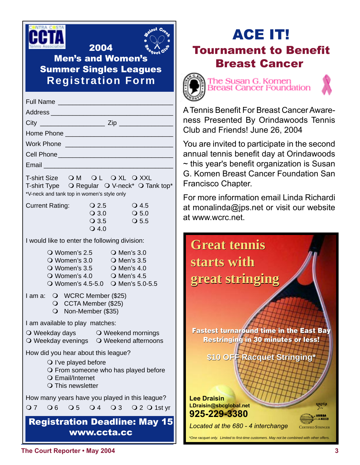



Men's and Women's Summer Singles Leagues **Registration Form**

2004

| Work Phone Lawrence Management Communication                                                                                                                                        |                                         |                                      |
|-------------------------------------------------------------------------------------------------------------------------------------------------------------------------------------|-----------------------------------------|--------------------------------------|
|                                                                                                                                                                                     |                                         |                                      |
|                                                                                                                                                                                     |                                         |                                      |
| T-shirt Size OM OL OXL OXXL<br>T-shirt Type O Regular O V-neck* O Tank top*<br>*V-neck and tank top in women's style only                                                           |                                         |                                      |
| <b>Current Rating:</b>                                                                                                                                                              | $Q$ 2.5                                 | $\overline{\smash{\bigcirc}}$ 4.5    |
|                                                                                                                                                                                     | $\overline{O}3.0$<br>$\overline{Q}$ 3.5 | $\bigcirc$ 5.0<br>$\overline{O}$ 5.5 |
|                                                                                                                                                                                     | $\overline{O}$ 4.0                      |                                      |
| I would like to enter the following division:                                                                                                                                       |                                         |                                      |
| O Women's 2.5 O Men's 3.0<br>O Women's 3.0 O Men's 3.5<br>O Women's $3.5$ O Men's $4.0$<br>$\overline{O}$ Women's 4.0 $\overline{O}$ Men's 4.5<br>O Women's 4.5-5.0 O Men's 5.0-5.5 |                                         |                                      |
| O WCRC Member (\$25)<br>l am a: L<br>O CCTA Member (\$25)<br>O Non-Member (\$35)                                                                                                    |                                         |                                      |
| I am available to play matches:                                                                                                                                                     |                                         |                                      |
| O Weekday days O Weekend mornings<br>O Weekday evenings O Weekend afternoons                                                                                                        |                                         |                                      |
| How did you hear about this league?                                                                                                                                                 |                                         |                                      |
| $\bigcirc$ l've played before<br>O From someone who has played before<br>○ Email/Internet<br>O This newsletter                                                                      |                                         |                                      |
| How many years have you played in this league?                                                                                                                                      |                                         |                                      |
| O6 O5 O4 O3<br>O 7                                                                                                                                                                  |                                         | $Q2Q1st$ yr                          |
| <b>Registration Deadline: May 15</b><br>www.ccta.cc                                                                                                                                 |                                         |                                      |

# ACE IT! Tournament to Benefit Breast Cancer





A Tennis Benefit For Breast Cancer Awareness Presented By Orindawoods Tennis Club and Friends! June 26, 2004

You are invited to participate in the second annual tennis benefit day at Orindawoods  $\sim$  this year's benefit organization is Susan G. Komen Breast Cancer Foundation San Francisco Chapter.

For more information email Linda Richardi at monalinda@jps.net or visit our website at www.wcrc.net.

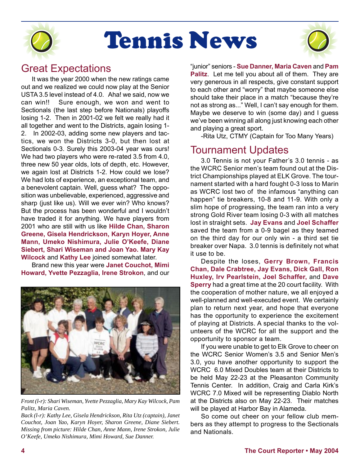

# Tennis News



## Great Expectations

It was the year 2000 when the new ratings came out and we realized we could now play at the Senior USTA 3.5 level instead of 4.0. Aha! we said, now we can win!! Sure enough, we won and went to Sectionals (the last step before Nationals) playoffs losing 1-2. Then in 2001-02 we felt we really had it all together and went to the Districts, again losing 1- 2. In 2002-03, adding some new players and tactics, we won the Districts 3-0, but then lost at Sectionals 0-3. Surely this 2003-04 year was ours! We had two players who were re-rated 3.5 from 4.0, three new 50 year olds, lots of depth, etc. However, we again lost at Districts 1-2. How could we lose? We had lots of experience, an exceptional team, and a benevolent captain. Well, guess what? The opposition was unbelievable, experienced, aggressive and sharp (just like us). Will we ever win? Who knows? But the process has been wonderful and I wouldn't have traded it for anything. We have players from 2001 who are still with us like **Hilde Chan, Sharon Greene, Gisela Hendrickson, Karyn Hoyer, Anne Mann, Umeko Nishimura, Julie O'Keefe, Diane Siebert, Shari Wiseman and Joan Yao. Mary Kay Wilcock** and **Kathy Lee** joined somewhat later.

Brand new this year were **Janet Couchot, Mimi Howard, Yvette Pezzaglia, Irene Strokon**, and our



*Front (l-r): Shari Wiseman, Yvette Pezzaglia, Mary Kay Wilcock, Pam Palitz, Maria Caven.*

*Back (l-r): Kathy Lee, Gisela Hendrickson, Rita Utz (captain), Janet Couchot, Joan Yao, Karyn Hoyer, Sharon Greene, Diane Siebert. Missing from picture: Hilde Chan, Anne Mann, Irene Strokon, Julie O'Keefe, Umeko Nishimura, Mimi Howard, Sue Danner.*

"junior" seniors - **Sue Danner, Maria Caven** and **Pam Palitz**. Let me tell you about all of them. They are very generous in all respects, give constant support to each other and "worry" that maybe someone else should take their place in a match "because they're not as strong as..." Well, I can't say enough for them. Maybe we deserve to win (some day) and I guess we've been winning all along just knowing each other and playing a great sport.

-Rita Utz, CTMY (Captain for Too Many Years)

## Tournament Updates

3.0 Tennis is not your Father's 3.0 tennis - as the WCRC Senior men's team found out at the District Championships played at ELK Grove. The tournament started with a hard fought 0-3 loss to Marin as WCRC lost two of the infamous "anything can happen" tie breakers, 10-8 and 11-9. With only a slim hope of progressing, the team ran into a very strong Gold River team losing 0-3 with all matches lost in straight sets. **Jay Evans** and **Joel Schaffer** saved the team from a 0-9 bagel as they teamed on the third day for our only win - a third set tie breaker over Napa. 3.0 tennis is definitely not what it use to be.

Despite the loses, **Gerry Brown, Francis Chan, Dale Crabtree, Jay Evans, Dick Gall, Ron Huxley, Irv Pearlstein, Joel Schaffer,** and **Dave Sperry** had a great time at the 20 court facility. With the cooperation of mother nature, we all enjoyed a well-planned and well-executed event. We certainly plan to return next year, and hope that everyone has the opportunity to experience the excitement of playing at Districts. A special thanks to the volunteers of the WCRC for all the support and the opportunity to sponsor a team.

If you were unable to get to Elk Grove to cheer on the WCRC Senior Women's 3.5 and Senior Men's 3.0, you have another opportunity to support the WCRC 6.0 Mixed Doubles team at their Districts to be held May 22-23 at the Pleasanton Community Tennis Center. In addition, Craig and Carla Kirk's WCRC 7.0 Mixed will be representing Diablo North at the Districts also on May 22-23. Their matches will be played at Harbor Bay in Alameda.

So come out cheer on your fellow club members as they attempt to progress to the Sectionals and Nationals.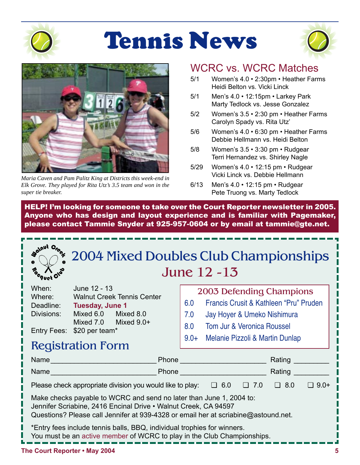

**Solnut** 

# Tennis News





*Maria Caven and Pam Palitz King at Districts this week-end in Elk Grove. They played for Rita Utz's 3.5 team and won in the super tie breaker.*

## WCRC vs. WCRC Matches

- 5/1 Women's 4.0 2:30pm Heather Farms Heidi Belton vs. Vicki Linck
- 5/1 Men's 4.0 12:15pm Larkey Park Marty Tedlock vs. Jesse Gonzalez
- 5/2 Women's 3.5 2:30 pm Heather Farms Carolyn Spady vs. Rita Utz'
- 5/6 Women's 4.0 6:30 pm Heather Farms Debbie Hellmann vs. Heidi Belton
- 5/8 Women's 3.5 3:30 pm Rudgear Terri Hernandez vs. Shirley Nagle
- 5/29 Women's 4.0 12:15 pm Rudgear Vicki Linck vs. Debbie Hellmann
- 6/13 Men's 4.0 12:15 pm Rudgear Pete Truong vs. Marty Tedlock

HELP! I'm looking for someone to take over the Court Reporter newsletter in 2005. Anyone who has design and layout experience and is familiar with Pagemaker, please contact Tammie Snyder at 925-957-0604 or by email at tammie@gte.net.



| When:      | June 12 - 13                      |              |  |
|------------|-----------------------------------|--------------|--|
| Where:     | <b>Walnut Creek Tennis Center</b> |              |  |
| Deadline:  | <b>Tuesday, June 1</b>            |              |  |
| Divisions: | Mixed 6.0                         | Mixed 8.0    |  |
|            | Mixed 7.0                         | Mixed $9.0+$ |  |
|            | Entry Fees: \$20 per team*        |              |  |

|     | 2003 Defending Champions               |
|-----|----------------------------------------|
| 6.0 | Francis Crusit & Kathleen "Pru" Pruden |

- 7.0 Jay Hoyer & Umeko Nishimura
- 8.0 Tom Jur & Veronica Roussel
- 9.0+ Melanie Pizzoli & Martin Dunlap

|  | <b>Registration Form</b> |  |  |
|--|--------------------------|--|--|
|--|--------------------------|--|--|

| Name                                                                                                                                                                                                                         | Phone |            |               | Rating     |             |
|------------------------------------------------------------------------------------------------------------------------------------------------------------------------------------------------------------------------------|-------|------------|---------------|------------|-------------|
| Name                                                                                                                                                                                                                         | Phone |            |               | Rating     |             |
| Please check appropriate division you would like to play:                                                                                                                                                                    |       | $\Box$ 6.0 | 7.0<br>$\Box$ | $\Box$ 8.0 | $\Box$ 9.0+ |
| Make checks payable to WCRC and send no later than June 1, 2004 to:<br>Jennifer Scriabine, 2416 Encinal Drive . Walnut Creek, CA 94597<br>Questions? Please call Jennifer at 939-4328 or email her at scriabine@astound.net. |       |            |               |            |             |
| *Entry fees include tennis balls, BBQ, individual trophies for winners.<br>You must be an active member of WCRC to play in the Club Championships.                                                                           |       |            |               |            |             |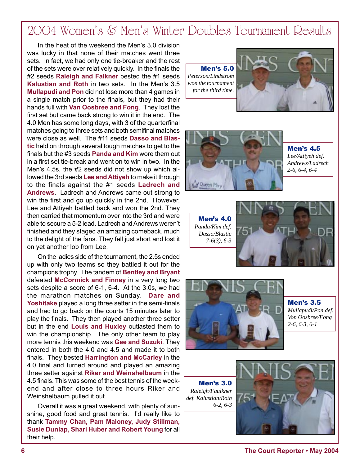# 2004 Women's & Men's Winter Doubles Tournament Results

In the heat of the weekend the Men's 3.0 division was lucky in that none of their matches went three sets. In fact, we had only one tie-breaker and the rest of the sets were over relatively quickly. In the finals the #2 seeds **Raleigh and Falkner** bested the #1 seeds **Kalustian and Roth** in two sets. In the Men's 3.5 **Mullapudi and Pon** did not lose more than 4 games in a single match prior to the finals, but they had their hands full with **Van Oosbree and Fong**. They lost the first set but came back strong to win it in the end. The 4.0 Men has some long days, with 3 of the quarterfinal matches going to three sets and both semifinal matches were close as well. The #11 seeds **Dasso and Blastic** held on through several tough matches to get to the finals but the #3 seeds **Panda and Kim** wore them out in a first set tie-break and went on to win in two. In the Men's 4.5s, the #2 seeds did not show up which allowed the 3rd seeds **Lee and Attiyeh** to make it through to the finals against the #1 seeds **Ladrech and Andrews**. Ladrech and Andrews came out strong to win the first and go up quickly in the 2nd. However, Lee and Attiyeh battled back and won the 2nd. They then carried that momentum over into the 3rd and were able to secure a 5-2 lead. Ladrech and Andrews weren't finished and they staged an amazing comeback, much to the delight of the fans. They fell just short and lost it on yet another lob from Lee.

On the ladies side of the tournament, the 2.5s ended up with only two teams so they battled it out for the champions trophy. The tandem of **Bentley and Bryant** defeated **McCormick and Finney** in a very long two sets despite a score of 6-1, 6-4. At the 3.0s, we had the marathon matches on Sunday. **Dare and Yoshitake** played a long three setter in the semi-finals and had to go back on the courts 15 minutes later to play the finals. They then played another three setter but in the end **Louis and Huxley** outlasted them to win the championship. The only other team to play more tennis this weekend was **Gee and Suzuki**. They entered in both the 4.0 and 4.5 and made it to both finals. They bested **Harrington and McCarley** in the 4.0 final and turned around and played an amazing three setter against **Riker and Weinshelbaum** in the 4.5 finals. This was some of the best tennis of the weekend and after close to three hours Riker and Weinshelbaum pulled it out.

Overall it was a great weekend, with plenty of sunshine, good food and great tennis. I'd really like to thank **Tammy Chan, Pam Maloney, Judy Stillman, Susie Dunlap, Shari Huber and Robert Young** for all their help.

Men's 5.0 *Peterson/Lindstrom won the tournament for the third time.*





Men's 4.5 *Lee/Attiyeh def. Andrews/Ladrech 2-6, 6-4, 6-4*

Men's 4.0 *Panda/Kim def. Dasso/Blastic 7-6(3), 6-3*





Men's 3.5 *Mullapudi/Pon def. Von Oosbree/Fong 2-6, 6-3, 6-1*

Men's 3.0 *Raleigh/Faulkner def. Kalustian/Roth 6-2, 6-3*

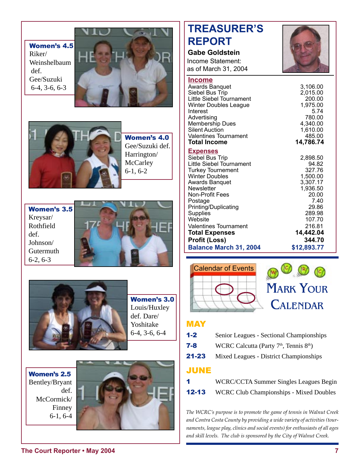Women's 4.5 Riker/ Weinshelbaum def. Gee/Suzuki 6-4, 3-6, 6-3





Women's 4.0 Gee/Suzuki def. Harrington/ **McCarley** 6-1, 6-2

Women's 3.5 Kreysar/ Rothfield def. Johnson/ Gutermuth 6-2, 6-3





Women's 3.0 Louis/Huxley def. Dare/ Yoshitake 6-4, 3-6, 6-4

Women's 2.5 Bentley/Bryant def. McCormick/ Finney 6-1, 6-4



# **TREASURER'S REPORT**

#### **Gabe Goldstein** Income Statement:

as of March 31, 2004



| <b>Income</b><br><b>Awards Banquet</b><br>Siebel Bus Trip<br>Little Siebel Tournament<br><b>Winter Doubles League</b><br>Interest<br>Advertising<br>Membership Dues<br><b>Silent Auction</b><br><b>Valentines Tournament</b><br><b>Total Income</b>                                                                                                              | 3,106.00<br>2,015.00<br>200.00<br>1,975.00<br>5.74<br>780.00<br>4,340.00<br>1,610.00<br>485.00<br>14,786.74                                                   |
|------------------------------------------------------------------------------------------------------------------------------------------------------------------------------------------------------------------------------------------------------------------------------------------------------------------------------------------------------------------|---------------------------------------------------------------------------------------------------------------------------------------------------------------|
| <b>Expenses</b><br>Siebel Bus Trip<br>Little Siebel Tournament<br><b>Turkey Tournement</b><br><b>Winter Doubles</b><br><b>Awards Banquet</b><br>Newsletter<br><b>Non-Profit Fees</b><br>Postage<br>Printing/Duplicating<br>Supplies<br>Website<br><b>Valentines Tournament</b><br><b>Total Expenses</b><br><b>Profit (Loss)</b><br><b>Balance March 31, 2004</b> | 2,898.50<br>94.82<br>327.76<br>1,500.00<br>3,307.17<br>1,936.50<br>20.00<br>7.40<br>29.86<br>289.98<br>107.70<br>216.81<br>14,442.04<br>344.70<br>\$12,893.77 |



### **MAY**

- 1-2 Senior Leagues Sectional Championships
- **7-8** WCRC Calcutta (Party  $7<sup>th</sup>$ , Tennis  $8<sup>th</sup>$ )
- 21-23 Mixed Leagues District Championships

### JUNE

1 WCRC/CCTA Summer Singles Leagues Begin **12-13** WCRC Club Championships - Mixed Doubles

*The WCRC's purpose is to promote the game of tennis in Walnut Creek and Contra Costa County by providing a wide variety of activities (tournaments, league play, clinics and social events) for enthusiasts of all ages and skill levels. The club is sponsored by the City of Walnut Creek.*